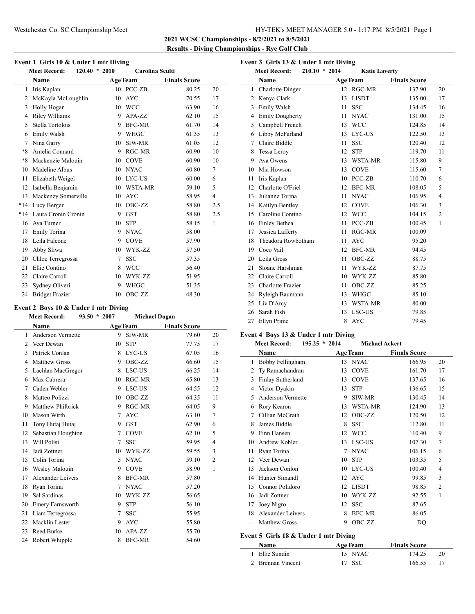#### Westchester Co. SC Championship Meet HY-TEK's MEET MANAGER 5.0 - 1:17 PM 8/5/2021 Page 1

**2021 WCSC Championships - 8/2/2021 to 8/5/2021 Results - Diving Championships - Rye Golf Club**

|  |  |  | Event 1 Girls 10 & Under 1 mtr Diving |
|--|--|--|---------------------------------------|
|--|--|--|---------------------------------------|

| <b>Meet Record:</b><br>$120.40*$ |                        | Carolina Sculti<br>2010 |                |                     |                |
|----------------------------------|------------------------|-------------------------|----------------|---------------------|----------------|
|                                  | Name                   |                         | <b>AgeTeam</b> | <b>Finals Score</b> |                |
| 1                                | Iris Kaplan            |                         | 10 PCC-ZB      | 80.25               | 20             |
| 2                                | McKayla McLoughlin     | 10                      | <b>AYC</b>     | 70.55               | 17             |
| 3                                | Holly Hogan            | 10                      | <b>WCC</b>     | 63.90               | 16             |
| 4                                | Riley Williams         | 9                       | APA-ZZ         | 62.10               | 15             |
| 5                                | Stella Tortolois       | 9                       | <b>BFC-MR</b>  | 61.70               | 14             |
| 6                                | Emily Walsh            | 9                       | WHGC           | 61.35               | 13             |
| 7                                | Nina Garry             | 10                      | SIW-MR         | 61.05               | 12             |
| *8                               | Amelia Connard         | 9                       | RGC-MR         | 60.90               | 10             |
| $*8$                             | Mackenzie Malouin      | 10                      | <b>COVE</b>    | 60.90               | 10             |
| 10                               | Madeline Albus         | 10                      | <b>NYAC</b>    | 60.80               | 7              |
| 11                               | Elizabeth Weigel       | 10                      | LYC-US         | 60.00               | 6              |
| 12                               | Isabella Benjamin      |                         | 10 WSTA-MR     | 59.10               | 5              |
| 13                               | Mackenzy Somerville    | 10                      | <b>AYC</b>     | 58.95               | $\overline{4}$ |
| $*14$                            | Lucy Berger            | 10                      | OBC-ZZ         | 58.80               | 2.5            |
| $*14$                            | Laura Cronin Cronin    | 9                       | <b>GST</b>     | 58.80               | 2.5            |
| 16                               | Ava Turner             | 10                      | <b>STP</b>     | 58.15               | 1              |
| 17                               | Emily Torina           | 9                       | <b>NYAC</b>    | 58.00               |                |
| 18                               | Leila Falcone          | 9                       | <b>COVE</b>    | 57.90               |                |
| 19                               | Abby Sliwa             | 10                      | WYK-ZZ         | 57.50               |                |
| 20                               | Chloe Terregrossa      | 7                       | <b>SSC</b>     | 57.35               |                |
| 21                               | Ellie Contino          | 8                       | <b>WCC</b>     | 56.40               |                |
| 22                               | Claire Carroll         | 10                      | WYK-ZZ         | 51.95               |                |
| 23                               | Sydney Oliveri         | 9                       | WHGC           | 51.35               |                |
| 24                               | <b>Bridget Frazier</b> | 10                      | OBC-ZZ         | 48.30               |                |

#### **Event 2 Boys 10 & Under 1 mtr Diving**

## **Meet Record: 93.50 \* 2007 Michael Dugan**

|                             | Name                    | <b>AgeTeam</b> |               | <b>Finals Score</b> |                |
|-----------------------------|-------------------------|----------------|---------------|---------------------|----------------|
| 1                           | Anderson Vermette       | 9              | SIW-MR        | 79.60               | 20             |
| $\mathcal{D}_{\mathcal{L}}$ | Veer Dewan              | 10             | <b>STP</b>    | 77.75               | 17             |
| 3                           | Patrick Conlan          | 8              | LYC-US        | 67.05               | 16             |
| 4                           | <b>Matthew Gross</b>    | 9              | OBC-ZZ        | 66.60               | 15             |
| 5                           | Lachlan MacGregor       | 8              | LSC-US        | 66.25               | 14             |
| 6                           | Max Cabrera             | 10             | RGC-MR        | 65.80               | 13             |
| 7                           | Caden Webler            | 9              | LSC-US        | 64.55               | 12             |
| 8                           | Matteo Polizzi          | 10             | OBC-ZZ        | 64.35               | 11             |
| 9                           | Matthew Philbrick       | 9              | RGC-MR        | 64.05               | 9              |
| 10                          | Mason Wirth             | 7              | <b>AYC</b>    | 63.10               | 7              |
| 11                          | Tony Hutaj Hutaj        | 9              | <b>GST</b>    | 62.90               | 6              |
| 12                          | Sebastian Houghton      | 7              | <b>COVE</b>   | 62.10               | 5              |
| 13                          | Will Polisi             | 7              | <b>SSC</b>    | 59.95               | 4              |
| 14                          | Jadi Zottner            | 10             | WYK-ZZ        | 59.55               | 3              |
| 15                          | Colin Torina            | 5              | <b>NYAC</b>   | 59.10               | $\overline{c}$ |
| 16                          | Wesley Malouin          | 9              | <b>COVE</b>   | 58.90               | 1              |
| 17                          | Alexander Leivers       | 8              | <b>BFC-MR</b> | 57.80               |                |
| 18                          | Ryan Torina             | 7              | <b>NYAC</b>   | 57.20               |                |
| 19                          | Sal Sardinas            | 10             | WYK-ZZ        | 56.65               |                |
| 20                          | <b>Emery Farnsworth</b> | 9              | <b>STP</b>    | 56.10               |                |
| 21                          | Liam Terregrossa        | 7              | <b>SSC</b>    | 55.95               |                |
| 22                          | Macklin Lester          | 9              | <b>AYC</b>    | 55.80               |                |
| 23                          | Reed Burke              | 10             | APA-ZZ        | 55.70               |                |
| 24                          | Robert Whipple          | 8              | <b>BFC-MR</b> | 54.60               |                |

| Event 3 Girls 13 & Under 1 mtr Diving                          |                         |    |                |                     |                |  |  |
|----------------------------------------------------------------|-------------------------|----|----------------|---------------------|----------------|--|--|
| $210.10 * 2014$<br><b>Meet Record:</b><br><b>Katie Laverty</b> |                         |    |                |                     |                |  |  |
|                                                                | Name                    |    | <b>AgeTeam</b> | <b>Finals Score</b> |                |  |  |
| 1                                                              | <b>Charlotte Dinger</b> |    | 12 RGC-MR      | 137.90              | 20             |  |  |
| 2                                                              | Kenya Clark             | 13 | <b>LISDT</b>   | 135.00              | 17             |  |  |
| 3                                                              | Emily Walsh             | 11 | <b>SSC</b>     | 134.45              | 16             |  |  |
| 4                                                              | <b>Emily Dougherty</b>  | 11 | <b>NYAC</b>    | 131.00              | 15             |  |  |
| 5                                                              | Campbell French         | 13 | <b>WCC</b>     | 124.85              | 14             |  |  |
| 6                                                              | Libby McFarland         | 13 | LYC-US         | 122.50              | 13             |  |  |
| 7                                                              | Claire Biddle           | 11 | <b>SSC</b>     | 120.40              | 12             |  |  |
| 8                                                              | Tessa Leroy             | 12 | <b>STP</b>     | 119.70              | 11             |  |  |
| 9                                                              | Ava Owens               | 13 | WSTA-MR        | 115.80              | 9              |  |  |
| 10                                                             | Mia Howson              | 13 | <b>COVE</b>    | 115.60              | 7              |  |  |
| 11                                                             | Iris Kaplan             | 10 | PCC-ZB         | 110.70              | 6              |  |  |
| 12                                                             | Charlotte O'Friel       | 12 | <b>BFC-MR</b>  | 108.05              | 5              |  |  |
| 13                                                             | Julianne Torina         | 11 | <b>NYAC</b>    | 106.95              | $\overline{4}$ |  |  |
| 14                                                             | Kaitlyn Bentley         | 12 | <b>COVE</b>    | 106.30              | 3              |  |  |
| 15                                                             | Caroline Contino        | 12 | <b>WCC</b>     | 104.15              | $\overline{2}$ |  |  |
| 16                                                             | Finley Bethea           | 11 | PCC-ZB         | 100.45              | 1              |  |  |
| 17                                                             | Jessica Lafferty        | 11 | RGC-MR         | 100.09              |                |  |  |
| 18                                                             | Theadora Rowbotham      | 11 | <b>AYC</b>     | 95.20               |                |  |  |
| 19                                                             | Coco Vail               | 12 | <b>BFC-MR</b>  | 94.45               |                |  |  |
| 20                                                             | Leila Gross             | 11 | OBC-ZZ         | 88.75               |                |  |  |
| 21                                                             | Sloane Harshman         | 11 | WYK-ZZ         | 87.75               |                |  |  |
| 22                                                             | Claire Carroll          | 10 | WYK-ZZ         | 85.80               |                |  |  |
| 23                                                             | Charlotte Frazier       | 11 | OBC-ZZ         | 85.25               |                |  |  |
| 24                                                             | Ryleigh Baumann         | 13 | <b>WHGC</b>    | 85.10               |                |  |  |
| 25                                                             | Liv D'Arcy              | 13 | <b>WSTA-MR</b> | 80.00               |                |  |  |
| 26                                                             | Sarah Fish              | 13 | LSC-US         | 79.85               |                |  |  |
| 27                                                             | Ellyn Prime             | 8  | <b>AYC</b>     | 79.45               |                |  |  |

## **Event 4 Boys 13 & Under 1 mtr Diving**

| <b>Meet Record:</b> | $195.25 * 2014$ |  | <b>Michael Ackert</b> |  |  |
|---------------------|-----------------|--|-----------------------|--|--|
|                     |                 |  |                       |  |  |

| Name |                                       |    | <b>AgeTeam</b> | <b>Finals Score</b> |                |
|------|---------------------------------------|----|----------------|---------------------|----------------|
| 1    | Bobby Fellingham                      | 13 | <b>NYAC</b>    | 166.95              | 20             |
| 2    | Ty Ramachandran                       | 13 | <b>COVE</b>    | 161.70              | 17             |
| 3    | Finlay Sutherland                     | 13 | <b>COVE</b>    | 137.65              | 16             |
| 4    | Victor Dyakin                         | 13 | <b>STP</b>     | 136.65              | 15             |
| 5    | Anderson Vermette                     | 9  | SIW-MR         | 130.45              | 14             |
| 6    | Rory Kearon                           | 13 | WSTA-MR        | 124.90              | 13             |
| 7    | Cillian McGrath                       | 12 | OBC-ZZ         | 120.50              | 12             |
| 8    | James Biddle                          | 8  | <b>SSC</b>     | 112.80              | 11             |
| 9    | Finn Hansen                           | 12 | <b>WCC</b>     | 110.40              | 9              |
| 10   | Andrew Kohler                         | 13 | LSC-US         | 107.30              | 7              |
| 11   | Ryan Torina                           | 7  | <b>NYAC</b>    | 106.15              | 6              |
| 12   | Veer Dewan                            | 10 | <b>STP</b>     | 103.35              | 5              |
| 13   | Jackson Conlon                        | 10 | LYC-US         | 100.40              | 4              |
| 14   | Hunter Simandl                        | 12 | <b>AYC</b>     | 99.85               | 3              |
| 15   | Connor Polidoro                       | 12 | <b>LISDT</b>   | 98.85               | $\overline{2}$ |
| 16   | Jadi Zottner                          | 10 | WYK-ZZ         | 92.55               | 1              |
| 17   | Joey Nigro                            | 12 | <b>SSC</b>     | 87.65               |                |
| 18   | Alexander Leivers                     | 8  | <b>BFC-MR</b>  | 86.05               |                |
|      | <b>Matthew Gross</b>                  | 9  | OBC-ZZ         | DQ                  |                |
|      | Event 5 Girls 18 & Under 1 mtr Diving |    |                |                     |                |
|      | Name                                  |    | <b>AgeTeam</b> | <b>Finals Score</b> |                |
| 1    | Ellie Sundin                          |    | 15 NYAC        | 174.25              | 20             |

2 Brennan Vincent 17 SSC 166.55 17